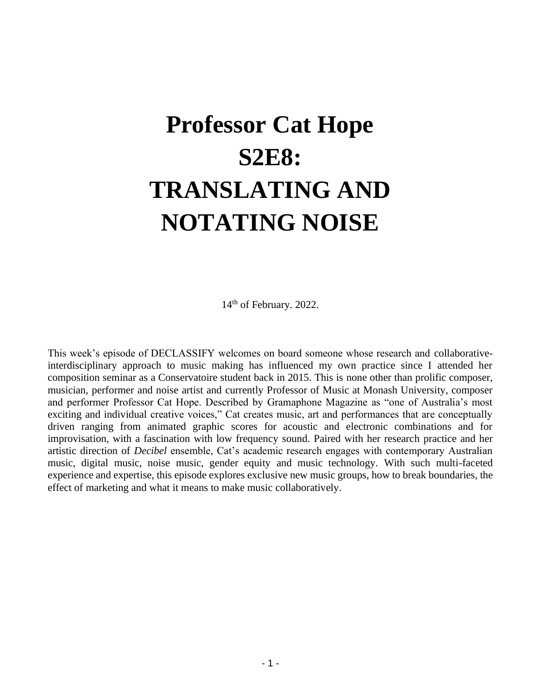# **Professor Cat Hope S2E8: TRANSLATING AND NOTATING NOISE**

14<sup>th</sup> of February. 2022.

This week's episode of DECLASSIFY welcomes on board someone whose research and collaborativeinterdisciplinary approach to music making has influenced my own practice since I attended her composition seminar as a Conservatoire student back in 2015. This is none other than prolific composer, musician, performer and noise artist and currently Professor of Music at Monash University, composer and performer Professor Cat Hope. Described by Gramaphone Magazine as "one of Australia's most exciting and individual creative voices," Cat creates music, art and performances that are conceptually driven ranging from animated graphic scores for acoustic and electronic combinations and for improvisation, with a fascination with low frequency sound. Paired with her research practice and her artistic direction of *Decibel* ensemble, Cat's academic research engages with contemporary Australian music, digital music, noise music, gender equity and music technology. With such multi-faceted experience and expertise, this episode explores exclusive new music groups, how to break boundaries, the effect of marketing and what it means to make music collaboratively.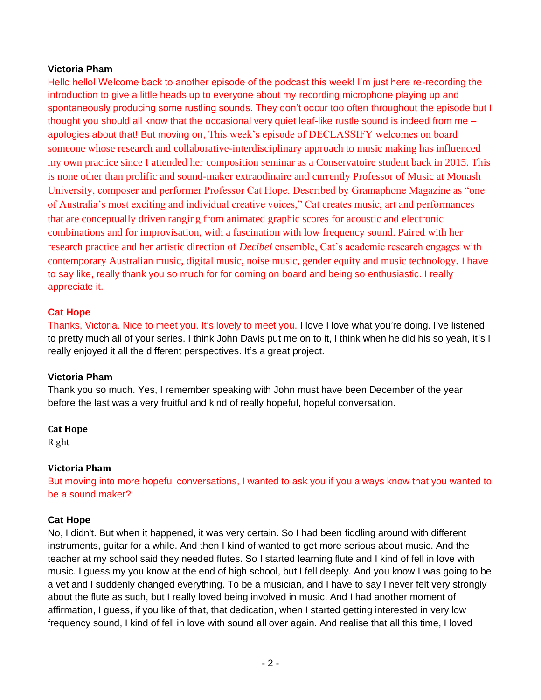#### **Victoria Pham**

Hello hello! Welcome back to another episode of the podcast this week! I'm just here re-recording the introduction to give a little heads up to everyone about my recording microphone playing up and spontaneously producing some rustling sounds. They don't occur too often throughout the episode but I thought you should all know that the occasional very quiet leaf-like rustle sound is indeed from me – apologies about that! But moving on, This week's episode of DECLASSIFY welcomes on board someone whose research and collaborative-interdisciplinary approach to music making has influenced my own practice since I attended her composition seminar as a Conservatoire student back in 2015. This is none other than prolific and sound-maker extraodinaire and currently Professor of Music at Monash University, composer and performer Professor Cat Hope. Described by Gramaphone Magazine as "one of Australia's most exciting and individual creative voices," Cat creates music, art and performances that are conceptually driven ranging from animated graphic scores for acoustic and electronic combinations and for improvisation, with a fascination with low frequency sound. Paired with her research practice and her artistic direction of *Decibel* ensemble, Cat's academic research engages with contemporary Australian music, digital music, noise music, gender equity and music technology. I have to say like, really thank you so much for for coming on board and being so enthusiastic. I really appreciate it.

# **Cat Hope**

Thanks, Victoria. Nice to meet you. It's lovely to meet you. I love I love what you're doing. I've listened to pretty much all of your series. I think John Davis put me on to it, I think when he did his so yeah, it's I really enjoyed it all the different perspectives. It's a great project.

#### **Victoria Pham**

Thank you so much. Yes, I remember speaking with John must have been December of the year before the last was a very fruitful and kind of really hopeful, hopeful conversation.

#### **Cat Hope**

Right

#### **Victoria Pham**

But moving into more hopeful conversations, I wanted to ask you if you always know that you wanted to be a sound maker?

# **Cat Hope**

No, I didn't. But when it happened, it was very certain. So I had been fiddling around with different instruments, guitar for a while. And then I kind of wanted to get more serious about music. And the teacher at my school said they needed flutes. So I started learning flute and I kind of fell in love with music. I guess my you know at the end of high school, but I fell deeply. And you know I was going to be a vet and I suddenly changed everything. To be a musician, and I have to say I never felt very strongly about the flute as such, but I really loved being involved in music. And I had another moment of affirmation, I guess, if you like of that, that dedication, when I started getting interested in very low frequency sound, I kind of fell in love with sound all over again. And realise that all this time, I loved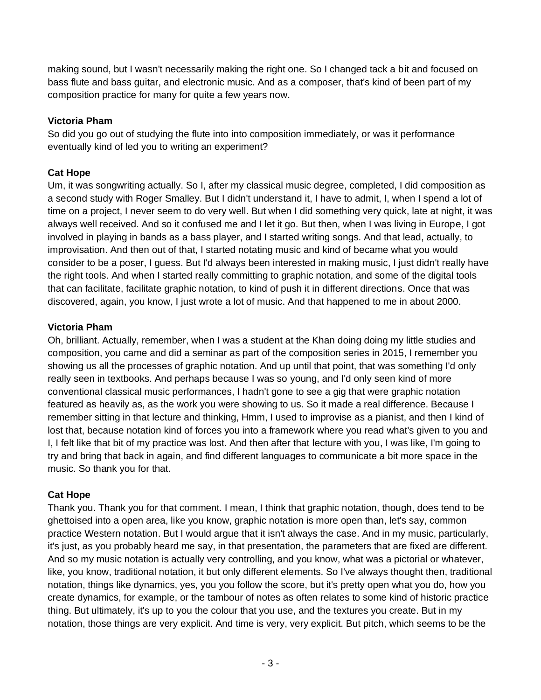making sound, but I wasn't necessarily making the right one. So I changed tack a bit and focused on bass flute and bass guitar, and electronic music. And as a composer, that's kind of been part of my composition practice for many for quite a few years now.

# **Victoria Pham**

So did you go out of studying the flute into into composition immediately, or was it performance eventually kind of led you to writing an experiment?

# **Cat Hope**

Um, it was songwriting actually. So I, after my classical music degree, completed, I did composition as a second study with Roger Smalley. But I didn't understand it, I have to admit, I, when I spend a lot of time on a project, I never seem to do very well. But when I did something very quick, late at night, it was always well received. And so it confused me and I let it go. But then, when I was living in Europe, I got involved in playing in bands as a bass player, and I started writing songs. And that lead, actually, to improvisation. And then out of that, I started notating music and kind of became what you would consider to be a poser, I guess. But I'd always been interested in making music, I just didn't really have the right tools. And when I started really committing to graphic notation, and some of the digital tools that can facilitate, facilitate graphic notation, to kind of push it in different directions. Once that was discovered, again, you know, I just wrote a lot of music. And that happened to me in about 2000.

# **Victoria Pham**

Oh, brilliant. Actually, remember, when I was a student at the Khan doing doing my little studies and composition, you came and did a seminar as part of the composition series in 2015, I remember you showing us all the processes of graphic notation. And up until that point, that was something I'd only really seen in textbooks. And perhaps because I was so young, and I'd only seen kind of more conventional classical music performances, I hadn't gone to see a gig that were graphic notation featured as heavily as, as the work you were showing to us. So it made a real difference. Because I remember sitting in that lecture and thinking, Hmm, I used to improvise as a pianist, and then I kind of lost that, because notation kind of forces you into a framework where you read what's given to you and I, I felt like that bit of my practice was lost. And then after that lecture with you, I was like, I'm going to try and bring that back in again, and find different languages to communicate a bit more space in the music. So thank you for that.

# **Cat Hope**

Thank you. Thank you for that comment. I mean, I think that graphic notation, though, does tend to be ghettoised into a open area, like you know, graphic notation is more open than, let's say, common practice Western notation. But I would argue that it isn't always the case. And in my music, particularly, it's just, as you probably heard me say, in that presentation, the parameters that are fixed are different. And so my music notation is actually very controlling, and you know, what was a pictorial or whatever, like, you know, traditional notation, it but only different elements. So I've always thought then, traditional notation, things like dynamics, yes, you you follow the score, but it's pretty open what you do, how you create dynamics, for example, or the tambour of notes as often relates to some kind of historic practice thing. But ultimately, it's up to you the colour that you use, and the textures you create. But in my notation, those things are very explicit. And time is very, very explicit. But pitch, which seems to be the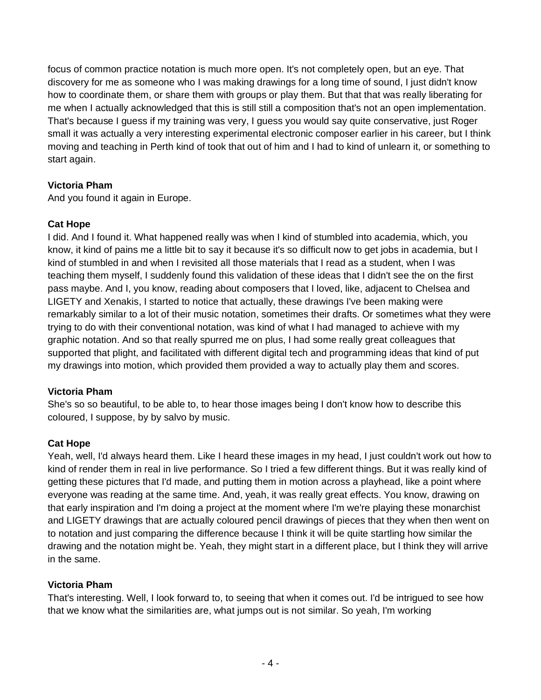focus of common practice notation is much more open. It's not completely open, but an eye. That discovery for me as someone who I was making drawings for a long time of sound, I just didn't know how to coordinate them, or share them with groups or play them. But that that was really liberating for me when I actually acknowledged that this is still still a composition that's not an open implementation. That's because I guess if my training was very, I guess you would say quite conservative, just Roger small it was actually a very interesting experimental electronic composer earlier in his career, but I think moving and teaching in Perth kind of took that out of him and I had to kind of unlearn it, or something to start again.

# **Victoria Pham**

And you found it again in Europe.

# **Cat Hope**

I did. And I found it. What happened really was when I kind of stumbled into academia, which, you know, it kind of pains me a little bit to say it because it's so difficult now to get jobs in academia, but I kind of stumbled in and when I revisited all those materials that I read as a student, when I was teaching them myself, I suddenly found this validation of these ideas that I didn't see the on the first pass maybe. And I, you know, reading about composers that I loved, like, adjacent to Chelsea and LIGETY and Xenakis, I started to notice that actually, these drawings I've been making were remarkably similar to a lot of their music notation, sometimes their drafts. Or sometimes what they were trying to do with their conventional notation, was kind of what I had managed to achieve with my graphic notation. And so that really spurred me on plus, I had some really great colleagues that supported that plight, and facilitated with different digital tech and programming ideas that kind of put my drawings into motion, which provided them provided a way to actually play them and scores.

# **Victoria Pham**

She's so so beautiful, to be able to, to hear those images being I don't know how to describe this coloured, I suppose, by by salvo by music.

# **Cat Hope**

Yeah, well, I'd always heard them. Like I heard these images in my head, I just couldn't work out how to kind of render them in real in live performance. So I tried a few different things. But it was really kind of getting these pictures that I'd made, and putting them in motion across a playhead, like a point where everyone was reading at the same time. And, yeah, it was really great effects. You know, drawing on that early inspiration and I'm doing a project at the moment where I'm we're playing these monarchist and LIGETY drawings that are actually coloured pencil drawings of pieces that they when then went on to notation and just comparing the difference because I think it will be quite startling how similar the drawing and the notation might be. Yeah, they might start in a different place, but I think they will arrive in the same.

# **Victoria Pham**

That's interesting. Well, I look forward to, to seeing that when it comes out. I'd be intrigued to see how that we know what the similarities are, what jumps out is not similar. So yeah, I'm working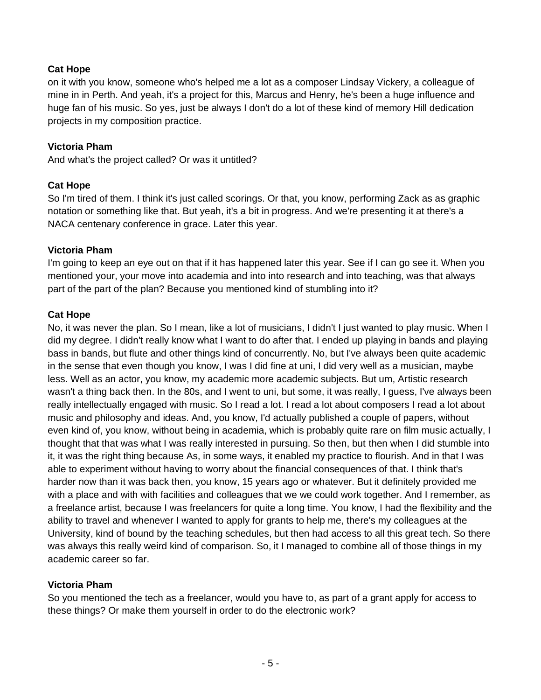# **Cat Hope**

on it with you know, someone who's helped me a lot as a composer Lindsay Vickery, a colleague of mine in in Perth. And yeah, it's a project for this, Marcus and Henry, he's been a huge influence and huge fan of his music. So yes, just be always I don't do a lot of these kind of memory Hill dedication projects in my composition practice.

## **Victoria Pham**

And what's the project called? Or was it untitled?

# **Cat Hope**

So I'm tired of them. I think it's just called scorings. Or that, you know, performing Zack as as graphic notation or something like that. But yeah, it's a bit in progress. And we're presenting it at there's a NACA centenary conference in grace. Later this year.

## **Victoria Pham**

I'm going to keep an eye out on that if it has happened later this year. See if I can go see it. When you mentioned your, your move into academia and into into research and into teaching, was that always part of the part of the plan? Because you mentioned kind of stumbling into it?

## **Cat Hope**

No, it was never the plan. So I mean, like a lot of musicians, I didn't I just wanted to play music. When I did my degree. I didn't really know what I want to do after that. I ended up playing in bands and playing bass in bands, but flute and other things kind of concurrently. No, but I've always been quite academic in the sense that even though you know, I was I did fine at uni, I did very well as a musician, maybe less. Well as an actor, you know, my academic more academic subjects. But um, Artistic research wasn't a thing back then. In the 80s, and I went to uni, but some, it was really, I guess, I've always been really intellectually engaged with music. So I read a lot. I read a lot about composers I read a lot about music and philosophy and ideas. And, you know, I'd actually published a couple of papers, without even kind of, you know, without being in academia, which is probably quite rare on film music actually, I thought that that was what I was really interested in pursuing. So then, but then when I did stumble into it, it was the right thing because As, in some ways, it enabled my practice to flourish. And in that I was able to experiment without having to worry about the financial consequences of that. I think that's harder now than it was back then, you know, 15 years ago or whatever. But it definitely provided me with a place and with with facilities and colleagues that we we could work together. And I remember, as a freelance artist, because I was freelancers for quite a long time. You know, I had the flexibility and the ability to travel and whenever I wanted to apply for grants to help me, there's my colleagues at the University, kind of bound by the teaching schedules, but then had access to all this great tech. So there was always this really weird kind of comparison. So, it I managed to combine all of those things in my academic career so far.

#### **Victoria Pham**

So you mentioned the tech as a freelancer, would you have to, as part of a grant apply for access to these things? Or make them yourself in order to do the electronic work?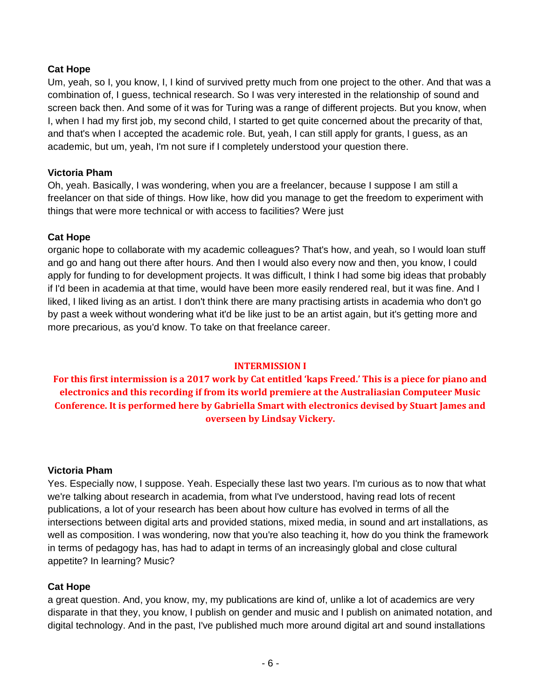# **Cat Hope**

Um, yeah, so I, you know, I, I kind of survived pretty much from one project to the other. And that was a combination of, I guess, technical research. So I was very interested in the relationship of sound and screen back then. And some of it was for Turing was a range of different projects. But you know, when I, when I had my first job, my second child, I started to get quite concerned about the precarity of that, and that's when I accepted the academic role. But, yeah, I can still apply for grants, I guess, as an academic, but um, yeah, I'm not sure if I completely understood your question there.

## **Victoria Pham**

Oh, yeah. Basically, I was wondering, when you are a freelancer, because I suppose I am still a freelancer on that side of things. How like, how did you manage to get the freedom to experiment with things that were more technical or with access to facilities? Were just

## **Cat Hope**

organic hope to collaborate with my academic colleagues? That's how, and yeah, so I would loan stuff and go and hang out there after hours. And then I would also every now and then, you know, I could apply for funding to for development projects. It was difficult, I think I had some big ideas that probably if I'd been in academia at that time, would have been more easily rendered real, but it was fine. And I liked, I liked living as an artist. I don't think there are many practising artists in academia who don't go by past a week without wondering what it'd be like just to be an artist again, but it's getting more and more precarious, as you'd know. To take on that freelance career.

#### **INTERMISSION I**

**For this first intermission is a 2017 work by Cat entitled 'kaps Freed.' This is a piece for piano and electronics and this recording if from its world premiere at the Australiasian Computeer Music Conference. It is performed here by Gabriella Smart with electronics devised by Stuart James and overseen by Lindsay Vickery.** 

#### **Victoria Pham**

Yes. Especially now, I suppose. Yeah. Especially these last two years. I'm curious as to now that what we're talking about research in academia, from what I've understood, having read lots of recent publications, a lot of your research has been about how culture has evolved in terms of all the intersections between digital arts and provided stations, mixed media, in sound and art installations, as well as composition. I was wondering, now that you're also teaching it, how do you think the framework in terms of pedagogy has, has had to adapt in terms of an increasingly global and close cultural appetite? In learning? Music?

# **Cat Hope**

a great question. And, you know, my, my publications are kind of, unlike a lot of academics are very disparate in that they, you know, I publish on gender and music and I publish on animated notation, and digital technology. And in the past, I've published much more around digital art and sound installations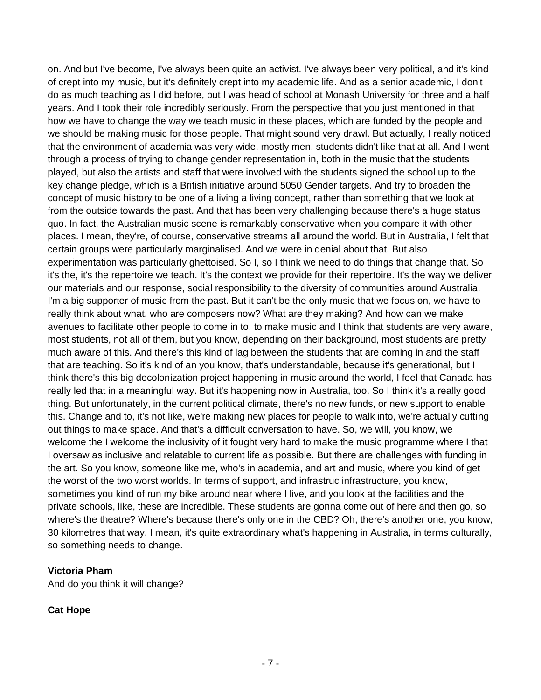on. And but I've become, I've always been quite an activist. I've always been very political, and it's kind of crept into my music, but it's definitely crept into my academic life. And as a senior academic, I don't do as much teaching as I did before, but I was head of school at Monash University for three and a half years. And I took their role incredibly seriously. From the perspective that you just mentioned in that how we have to change the way we teach music in these places, which are funded by the people and we should be making music for those people. That might sound very drawl. But actually, I really noticed that the environment of academia was very wide. mostly men, students didn't like that at all. And I went through a process of trying to change gender representation in, both in the music that the students played, but also the artists and staff that were involved with the students signed the school up to the key change pledge, which is a British initiative around 5050 Gender targets. And try to broaden the concept of music history to be one of a living a living concept, rather than something that we look at from the outside towards the past. And that has been very challenging because there's a huge status quo. In fact, the Australian music scene is remarkably conservative when you compare it with other places. I mean, they're, of course, conservative streams all around the world. But in Australia, I felt that certain groups were particularly marginalised. And we were in denial about that. But also experimentation was particularly ghettoised. So I, so I think we need to do things that change that. So it's the, it's the repertoire we teach. It's the context we provide for their repertoire. It's the way we deliver our materials and our response, social responsibility to the diversity of communities around Australia. I'm a big supporter of music from the past. But it can't be the only music that we focus on, we have to really think about what, who are composers now? What are they making? And how can we make avenues to facilitate other people to come in to, to make music and I think that students are very aware, most students, not all of them, but you know, depending on their background, most students are pretty much aware of this. And there's this kind of lag between the students that are coming in and the staff that are teaching. So it's kind of an you know, that's understandable, because it's generational, but I think there's this big decolonization project happening in music around the world, I feel that Canada has really led that in a meaningful way. But it's happening now in Australia, too. So I think it's a really good thing. But unfortunately, in the current political climate, there's no new funds, or new support to enable this. Change and to, it's not like, we're making new places for people to walk into, we're actually cutting out things to make space. And that's a difficult conversation to have. So, we will, you know, we welcome the I welcome the inclusivity of it fought very hard to make the music programme where I that I oversaw as inclusive and relatable to current life as possible. But there are challenges with funding in the art. So you know, someone like me, who's in academia, and art and music, where you kind of get the worst of the two worst worlds. In terms of support, and infrastruc infrastructure, you know, sometimes you kind of run my bike around near where I live, and you look at the facilities and the private schools, like, these are incredible. These students are gonna come out of here and then go, so where's the theatre? Where's because there's only one in the CBD? Oh, there's another one, you know, 30 kilometres that way. I mean, it's quite extraordinary what's happening in Australia, in terms culturally, so something needs to change.

## **Victoria Pham**

And do you think it will change?

# **Cat Hope**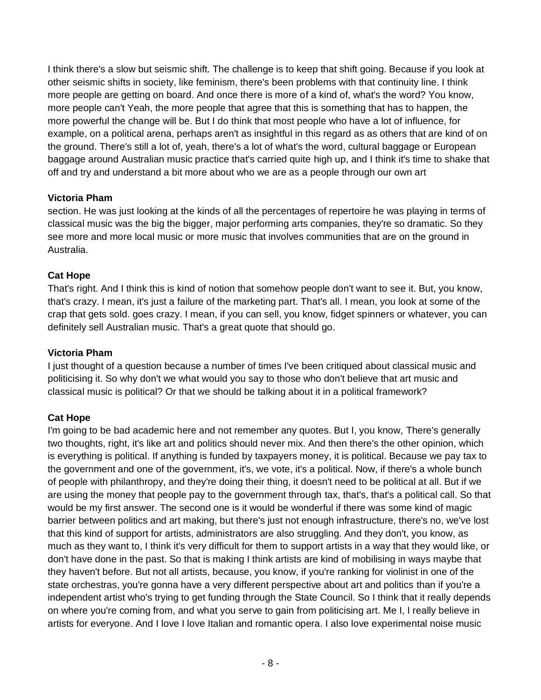I think there's a slow but seismic shift. The challenge is to keep that shift going. Because if you look at other seismic shifts in society, like feminism, there's been problems with that continuity line. I think more people are getting on board. And once there is more of a kind of, what's the word? You know, more people can't Yeah, the more people that agree that this is something that has to happen, the more powerful the change will be. But I do think that most people who have a lot of influence, for example, on a political arena, perhaps aren't as insightful in this regard as as others that are kind of on the ground. There's still a lot of, yeah, there's a lot of what's the word, cultural baggage or European baggage around Australian music practice that's carried quite high up, and I think it's time to shake that off and try and understand a bit more about who we are as a people through our own art

# **Victoria Pham**

section. He was just looking at the kinds of all the percentages of repertoire he was playing in terms of classical music was the big the bigger, major performing arts companies, they're so dramatic. So they see more and more local music or more music that involves communities that are on the ground in Australia.

# **Cat Hope**

That's right. And I think this is kind of notion that somehow people don't want to see it. But, you know, that's crazy. I mean, it's just a failure of the marketing part. That's all. I mean, you look at some of the crap that gets sold. goes crazy. I mean, if you can sell, you know, fidget spinners or whatever, you can definitely sell Australian music. That's a great quote that should go.

# **Victoria Pham**

I just thought of a question because a number of times I've been critiqued about classical music and politicising it. So why don't we what would you say to those who don't believe that art music and classical music is political? Or that we should be talking about it in a political framework?

# **Cat Hope**

I'm going to be bad academic here and not remember any quotes. But I, you know, There's generally two thoughts, right, it's like art and politics should never mix. And then there's the other opinion, which is everything is political. If anything is funded by taxpayers money, it is political. Because we pay tax to the government and one of the government, it's, we vote, it's a political. Now, if there's a whole bunch of people with philanthropy, and they're doing their thing, it doesn't need to be political at all. But if we are using the money that people pay to the government through tax, that's, that's a political call. So that would be my first answer. The second one is it would be wonderful if there was some kind of magic barrier between politics and art making, but there's just not enough infrastructure, there's no, we've lost that this kind of support for artists, administrators are also struggling. And they don't, you know, as much as they want to, I think it's very difficult for them to support artists in a way that they would like, or don't have done in the past. So that is making I think artists are kind of mobilising in ways maybe that they haven't before. But not all artists, because, you know, if you're ranking for violinist in one of the state orchestras, you're gonna have a very different perspective about art and politics than if you're a independent artist who's trying to get funding through the State Council. So I think that it really depends on where you're coming from, and what you serve to gain from politicising art. Me I, I really believe in artists for everyone. And I love I love Italian and romantic opera. I also love experimental noise music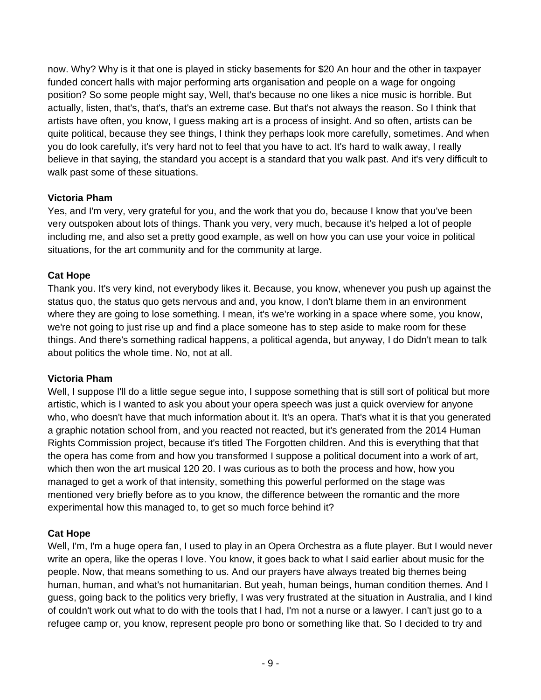now. Why? Why is it that one is played in sticky basements for \$20 An hour and the other in taxpayer funded concert halls with major performing arts organisation and people on a wage for ongoing position? So some people might say, Well, that's because no one likes a nice music is horrible. But actually, listen, that's, that's, that's an extreme case. But that's not always the reason. So I think that artists have often, you know, I guess making art is a process of insight. And so often, artists can be quite political, because they see things, I think they perhaps look more carefully, sometimes. And when you do look carefully, it's very hard not to feel that you have to act. It's hard to walk away, I really believe in that saying, the standard you accept is a standard that you walk past. And it's very difficult to walk past some of these situations.

# **Victoria Pham**

Yes, and I'm very, very grateful for you, and the work that you do, because I know that you've been very outspoken about lots of things. Thank you very, very much, because it's helped a lot of people including me, and also set a pretty good example, as well on how you can use your voice in political situations, for the art community and for the community at large.

# **Cat Hope**

Thank you. It's very kind, not everybody likes it. Because, you know, whenever you push up against the status quo, the status quo gets nervous and and, you know, I don't blame them in an environment where they are going to lose something. I mean, it's we're working in a space where some, you know, we're not going to just rise up and find a place someone has to step aside to make room for these things. And there's something radical happens, a political agenda, but anyway, I do Didn't mean to talk about politics the whole time. No, not at all.

# **Victoria Pham**

Well, I suppose I'll do a little segue segue into, I suppose something that is still sort of political but more artistic, which is I wanted to ask you about your opera speech was just a quick overview for anyone who, who doesn't have that much information about it. It's an opera. That's what it is that you generated a graphic notation school from, and you reacted not reacted, but it's generated from the 2014 Human Rights Commission project, because it's titled The Forgotten children. And this is everything that that the opera has come from and how you transformed I suppose a political document into a work of art, which then won the art musical 120 20. I was curious as to both the process and how, how you managed to get a work of that intensity, something this powerful performed on the stage was mentioned very briefly before as to you know, the difference between the romantic and the more experimental how this managed to, to get so much force behind it?

# **Cat Hope**

Well, I'm, I'm a huge opera fan, I used to play in an Opera Orchestra as a flute player. But I would never write an opera, like the operas I love. You know, it goes back to what I said earlier about music for the people. Now, that means something to us. And our prayers have always treated big themes being human, human, and what's not humanitarian. But yeah, human beings, human condition themes. And I guess, going back to the politics very briefly, I was very frustrated at the situation in Australia, and I kind of couldn't work out what to do with the tools that I had, I'm not a nurse or a lawyer. I can't just go to a refugee camp or, you know, represent people pro bono or something like that. So I decided to try and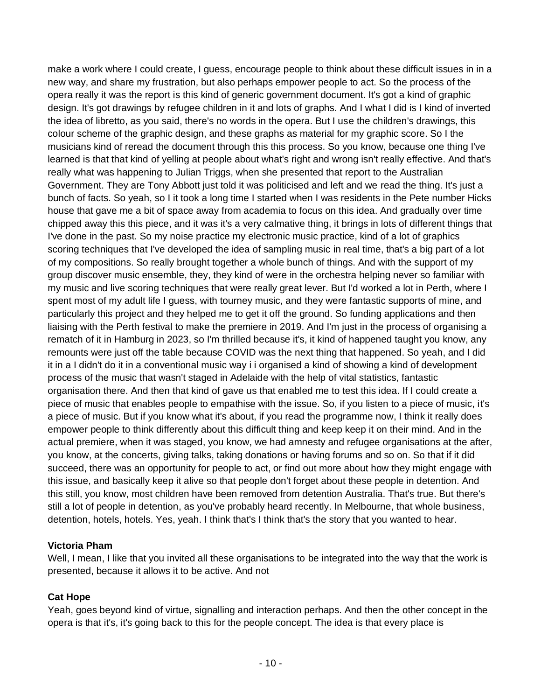make a work where I could create, I guess, encourage people to think about these difficult issues in in a new way, and share my frustration, but also perhaps empower people to act. So the process of the opera really it was the report is this kind of generic government document. It's got a kind of graphic design. It's got drawings by refugee children in it and lots of graphs. And I what I did is I kind of inverted the idea of libretto, as you said, there's no words in the opera. But I use the children's drawings, this colour scheme of the graphic design, and these graphs as material for my graphic score. So I the musicians kind of reread the document through this this process. So you know, because one thing I've learned is that that kind of yelling at people about what's right and wrong isn't really effective. And that's really what was happening to Julian Triggs, when she presented that report to the Australian Government. They are Tony Abbott just told it was politicised and left and we read the thing. It's just a bunch of facts. So yeah, so I it took a long time I started when I was residents in the Pete number Hicks house that gave me a bit of space away from academia to focus on this idea. And gradually over time chipped away this this piece, and it was it's a very calmative thing, it brings in lots of different things that I've done in the past. So my noise practice my electronic music practice, kind of a lot of graphics scoring techniques that I've developed the idea of sampling music in real time, that's a big part of a lot of my compositions. So really brought together a whole bunch of things. And with the support of my group discover music ensemble, they, they kind of were in the orchestra helping never so familiar with my music and live scoring techniques that were really great lever. But I'd worked a lot in Perth, where I spent most of my adult life I guess, with tourney music, and they were fantastic supports of mine, and particularly this project and they helped me to get it off the ground. So funding applications and then liaising with the Perth festival to make the premiere in 2019. And I'm just in the process of organising a rematch of it in Hamburg in 2023, so I'm thrilled because it's, it kind of happened taught you know, any remounts were just off the table because COVID was the next thing that happened. So yeah, and I did it in a I didn't do it in a conventional music way i i organised a kind of showing a kind of development process of the music that wasn't staged in Adelaide with the help of vital statistics, fantastic organisation there. And then that kind of gave us that enabled me to test this idea. If I could create a piece of music that enables people to empathise with the issue. So, if you listen to a piece of music, it's a piece of music. But if you know what it's about, if you read the programme now, I think it really does empower people to think differently about this difficult thing and keep keep it on their mind. And in the actual premiere, when it was staged, you know, we had amnesty and refugee organisations at the after, you know, at the concerts, giving talks, taking donations or having forums and so on. So that if it did succeed, there was an opportunity for people to act, or find out more about how they might engage with this issue, and basically keep it alive so that people don't forget about these people in detention. And this still, you know, most children have been removed from detention Australia. That's true. But there's still a lot of people in detention, as you've probably heard recently. In Melbourne, that whole business, detention, hotels, hotels. Yes, yeah. I think that's I think that's the story that you wanted to hear.

# **Victoria Pham**

Well, I mean, I like that you invited all these organisations to be integrated into the way that the work is presented, because it allows it to be active. And not

# **Cat Hope**

Yeah, goes beyond kind of virtue, signalling and interaction perhaps. And then the other concept in the opera is that it's, it's going back to this for the people concept. The idea is that every place is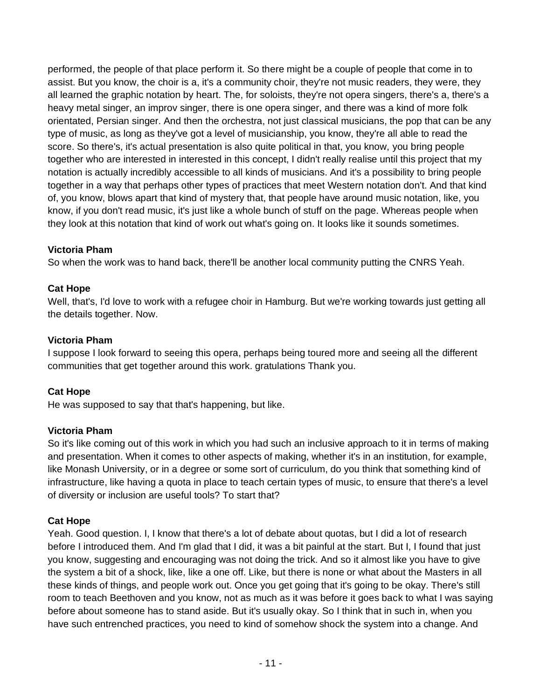performed, the people of that place perform it. So there might be a couple of people that come in to assist. But you know, the choir is a, it's a community choir, they're not music readers, they were, they all learned the graphic notation by heart. The, for soloists, they're not opera singers, there's a, there's a heavy metal singer, an improv singer, there is one opera singer, and there was a kind of more folk orientated, Persian singer. And then the orchestra, not just classical musicians, the pop that can be any type of music, as long as they've got a level of musicianship, you know, they're all able to read the score. So there's, it's actual presentation is also quite political in that, you know, you bring people together who are interested in interested in this concept, I didn't really realise until this project that my notation is actually incredibly accessible to all kinds of musicians. And it's a possibility to bring people together in a way that perhaps other types of practices that meet Western notation don't. And that kind of, you know, blows apart that kind of mystery that, that people have around music notation, like, you know, if you don't read music, it's just like a whole bunch of stuff on the page. Whereas people when they look at this notation that kind of work out what's going on. It looks like it sounds sometimes.

# **Victoria Pham**

So when the work was to hand back, there'll be another local community putting the CNRS Yeah.

# **Cat Hope**

Well, that's, I'd love to work with a refugee choir in Hamburg. But we're working towards just getting all the details together. Now.

# **Victoria Pham**

I suppose I look forward to seeing this opera, perhaps being toured more and seeing all the different communities that get together around this work. gratulations Thank you.

# **Cat Hope**

He was supposed to say that that's happening, but like.

# **Victoria Pham**

So it's like coming out of this work in which you had such an inclusive approach to it in terms of making and presentation. When it comes to other aspects of making, whether it's in an institution, for example, like Monash University, or in a degree or some sort of curriculum, do you think that something kind of infrastructure, like having a quota in place to teach certain types of music, to ensure that there's a level of diversity or inclusion are useful tools? To start that?

# **Cat Hope**

Yeah. Good question. I, I know that there's a lot of debate about quotas, but I did a lot of research before I introduced them. And I'm glad that I did, it was a bit painful at the start. But I, I found that just you know, suggesting and encouraging was not doing the trick. And so it almost like you have to give the system a bit of a shock, like, like a one off. Like, but there is none or what about the Masters in all these kinds of things, and people work out. Once you get going that it's going to be okay. There's still room to teach Beethoven and you know, not as much as it was before it goes back to what I was saying before about someone has to stand aside. But it's usually okay. So I think that in such in, when you have such entrenched practices, you need to kind of somehow shock the system into a change. And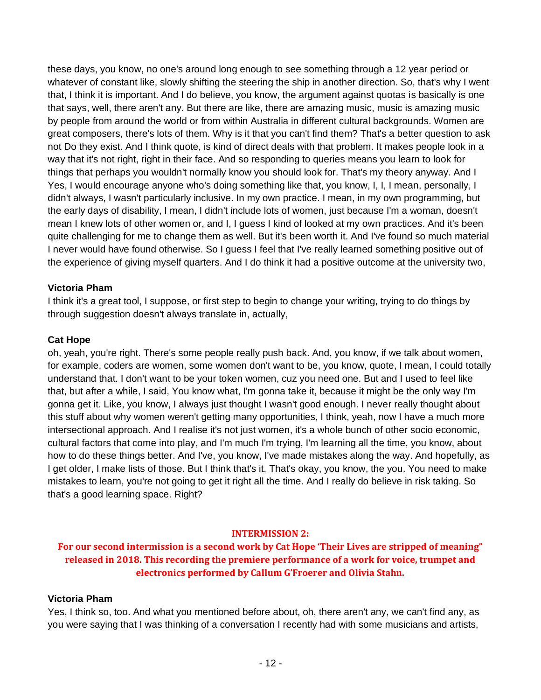these days, you know, no one's around long enough to see something through a 12 year period or whatever of constant like, slowly shifting the steering the ship in another direction. So, that's why I went that, I think it is important. And I do believe, you know, the argument against quotas is basically is one that says, well, there aren't any. But there are like, there are amazing music, music is amazing music by people from around the world or from within Australia in different cultural backgrounds. Women are great composers, there's lots of them. Why is it that you can't find them? That's a better question to ask not Do they exist. And I think quote, is kind of direct deals with that problem. It makes people look in a way that it's not right, right in their face. And so responding to queries means you learn to look for things that perhaps you wouldn't normally know you should look for. That's my theory anyway. And I Yes, I would encourage anyone who's doing something like that, you know, I, I, I mean, personally, I didn't always, I wasn't particularly inclusive. In my own practice. I mean, in my own programming, but the early days of disability, I mean, I didn't include lots of women, just because I'm a woman, doesn't mean I knew lots of other women or, and I, I guess I kind of looked at my own practices. And it's been quite challenging for me to change them as well. But it's been worth it. And I've found so much material I never would have found otherwise. So I guess I feel that I've really learned something positive out of the experience of giving myself quarters. And I do think it had a positive outcome at the university two,

## **Victoria Pham**

I think it's a great tool, I suppose, or first step to begin to change your writing, trying to do things by through suggestion doesn't always translate in, actually,

# **Cat Hope**

oh, yeah, you're right. There's some people really push back. And, you know, if we talk about women, for example, coders are women, some women don't want to be, you know, quote, I mean, I could totally understand that. I don't want to be your token women, cuz you need one. But and I used to feel like that, but after a while, I said, You know what, I'm gonna take it, because it might be the only way I'm gonna get it. Like, you know, I always just thought I wasn't good enough. I never really thought about this stuff about why women weren't getting many opportunities, I think, yeah, now I have a much more intersectional approach. And I realise it's not just women, it's a whole bunch of other socio economic, cultural factors that come into play, and I'm much I'm trying, I'm learning all the time, you know, about how to do these things better. And I've, you know, I've made mistakes along the way. And hopefully, as I get older, I make lists of those. But I think that's it. That's okay, you know, the you. You need to make mistakes to learn, you're not going to get it right all the time. And I really do believe in risk taking. So that's a good learning space. Right?

#### **INTERMISSION 2:**

**For our second intermission is a second work by Cat Hope 'Their Lives are stripped of meaning" released in 2018. This recording the premiere performance of a work for voice, trumpet and electronics performed by Callum G'Froerer and Olivia Stahn.** 

#### **Victoria Pham**

Yes, I think so, too. And what you mentioned before about, oh, there aren't any, we can't find any, as you were saying that I was thinking of a conversation I recently had with some musicians and artists,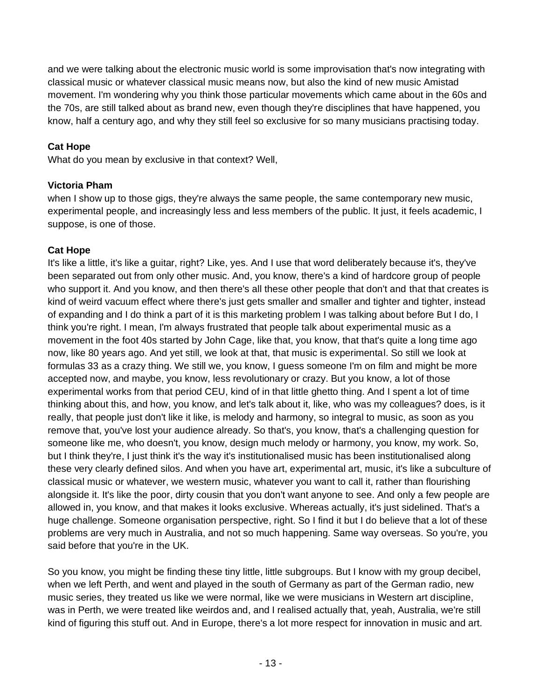and we were talking about the electronic music world is some improvisation that's now integrating with classical music or whatever classical music means now, but also the kind of new music Amistad movement. I'm wondering why you think those particular movements which came about in the 60s and the 70s, are still talked about as brand new, even though they're disciplines that have happened, you know, half a century ago, and why they still feel so exclusive for so many musicians practising today.

# **Cat Hope**

What do you mean by exclusive in that context? Well,

# **Victoria Pham**

when I show up to those gigs, they're always the same people, the same contemporary new music, experimental people, and increasingly less and less members of the public. It just, it feels academic, I suppose, is one of those.

# **Cat Hope**

It's like a little, it's like a guitar, right? Like, yes. And I use that word deliberately because it's, they've been separated out from only other music. And, you know, there's a kind of hardcore group of people who support it. And you know, and then there's all these other people that don't and that that creates is kind of weird vacuum effect where there's just gets smaller and smaller and tighter and tighter, instead of expanding and I do think a part of it is this marketing problem I was talking about before But I do, I think you're right. I mean, I'm always frustrated that people talk about experimental music as a movement in the foot 40s started by John Cage, like that, you know, that that's quite a long time ago now, like 80 years ago. And yet still, we look at that, that music is experimental. So still we look at formulas 33 as a crazy thing. We still we, you know, I guess someone I'm on film and might be more accepted now, and maybe, you know, less revolutionary or crazy. But you know, a lot of those experimental works from that period CEU, kind of in that little ghetto thing. And I spent a lot of time thinking about this, and how, you know, and let's talk about it, like, who was my colleagues? does, is it really, that people just don't like it like, is melody and harmony, so integral to music, as soon as you remove that, you've lost your audience already. So that's, you know, that's a challenging question for someone like me, who doesn't, you know, design much melody or harmony, you know, my work. So, but I think they're, I just think it's the way it's institutionalised music has been institutionalised along these very clearly defined silos. And when you have art, experimental art, music, it's like a subculture of classical music or whatever, we western music, whatever you want to call it, rather than flourishing alongside it. It's like the poor, dirty cousin that you don't want anyone to see. And only a few people are allowed in, you know, and that makes it looks exclusive. Whereas actually, it's just sidelined. That's a huge challenge. Someone organisation perspective, right. So I find it but I do believe that a lot of these problems are very much in Australia, and not so much happening. Same way overseas. So you're, you said before that you're in the UK.

So you know, you might be finding these tiny little, little subgroups. But I know with my group decibel, when we left Perth, and went and played in the south of Germany as part of the German radio, new music series, they treated us like we were normal, like we were musicians in Western art discipline, was in Perth, we were treated like weirdos and, and I realised actually that, yeah, Australia, we're still kind of figuring this stuff out. And in Europe, there's a lot more respect for innovation in music and art.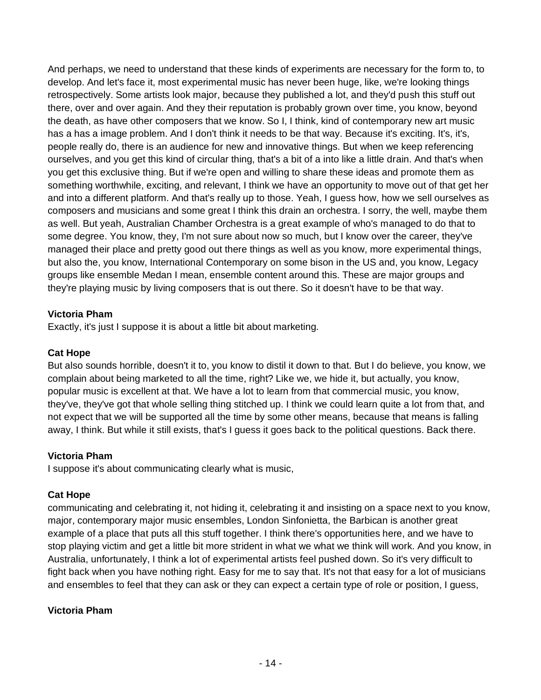And perhaps, we need to understand that these kinds of experiments are necessary for the form to, to develop. And let's face it, most experimental music has never been huge, like, we're looking things retrospectively. Some artists look major, because they published a lot, and they'd push this stuff out there, over and over again. And they their reputation is probably grown over time, you know, beyond the death, as have other composers that we know. So I, I think, kind of contemporary new art music has a has a image problem. And I don't think it needs to be that way. Because it's exciting. It's, it's, people really do, there is an audience for new and innovative things. But when we keep referencing ourselves, and you get this kind of circular thing, that's a bit of a into like a little drain. And that's when you get this exclusive thing. But if we're open and willing to share these ideas and promote them as something worthwhile, exciting, and relevant, I think we have an opportunity to move out of that get her and into a different platform. And that's really up to those. Yeah, I guess how, how we sell ourselves as composers and musicians and some great I think this drain an orchestra. I sorry, the well, maybe them as well. But yeah, Australian Chamber Orchestra is a great example of who's managed to do that to some degree. You know, they, I'm not sure about now so much, but I know over the career, they've managed their place and pretty good out there things as well as you know, more experimental things, but also the, you know, International Contemporary on some bison in the US and, you know, Legacy groups like ensemble Medan I mean, ensemble content around this. These are major groups and they're playing music by living composers that is out there. So it doesn't have to be that way.

## **Victoria Pham**

Exactly, it's just I suppose it is about a little bit about marketing.

## **Cat Hope**

But also sounds horrible, doesn't it to, you know to distil it down to that. But I do believe, you know, we complain about being marketed to all the time, right? Like we, we hide it, but actually, you know, popular music is excellent at that. We have a lot to learn from that commercial music, you know, they've, they've got that whole selling thing stitched up. I think we could learn quite a lot from that, and not expect that we will be supported all the time by some other means, because that means is falling away, I think. But while it still exists, that's I guess it goes back to the political questions. Back there.

#### **Victoria Pham**

I suppose it's about communicating clearly what is music,

# **Cat Hope**

communicating and celebrating it, not hiding it, celebrating it and insisting on a space next to you know, major, contemporary major music ensembles, London Sinfonietta, the Barbican is another great example of a place that puts all this stuff together. I think there's opportunities here, and we have to stop playing victim and get a little bit more strident in what we what we think will work. And you know, in Australia, unfortunately, I think a lot of experimental artists feel pushed down. So it's very difficult to fight back when you have nothing right. Easy for me to say that. It's not that easy for a lot of musicians and ensembles to feel that they can ask or they can expect a certain type of role or position, I guess,

# **Victoria Pham**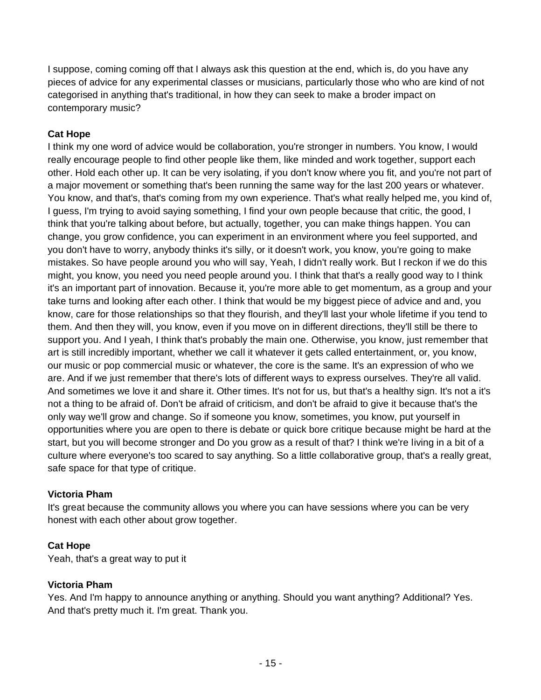I suppose, coming coming off that I always ask this question at the end, which is, do you have any pieces of advice for any experimental classes or musicians, particularly those who who are kind of not categorised in anything that's traditional, in how they can seek to make a broder impact on contemporary music?

# **Cat Hope**

I think my one word of advice would be collaboration, you're stronger in numbers. You know, I would really encourage people to find other people like them, like minded and work together, support each other. Hold each other up. It can be very isolating, if you don't know where you fit, and you're not part of a major movement or something that's been running the same way for the last 200 years or whatever. You know, and that's, that's coming from my own experience. That's what really helped me, you kind of, I guess, I'm trying to avoid saying something, I find your own people because that critic, the good, I think that you're talking about before, but actually, together, you can make things happen. You can change, you grow confidence, you can experiment in an environment where you feel supported, and you don't have to worry, anybody thinks it's silly, or it doesn't work, you know, you're going to make mistakes. So have people around you who will say, Yeah, I didn't really work. But I reckon if we do this might, you know, you need you need people around you. I think that that's a really good way to I think it's an important part of innovation. Because it, you're more able to get momentum, as a group and your take turns and looking after each other. I think that would be my biggest piece of advice and and, you know, care for those relationships so that they flourish, and they'll last your whole lifetime if you tend to them. And then they will, you know, even if you move on in different directions, they'll still be there to support you. And I yeah, I think that's probably the main one. Otherwise, you know, just remember that art is still incredibly important, whether we call it whatever it gets called entertainment, or, you know, our music or pop commercial music or whatever, the core is the same. It's an expression of who we are. And if we just remember that there's lots of different ways to express ourselves. They're all valid. And sometimes we love it and share it. Other times. It's not for us, but that's a healthy sign. It's not a it's not a thing to be afraid of. Don't be afraid of criticism, and don't be afraid to give it because that's the only way we'll grow and change. So if someone you know, sometimes, you know, put yourself in opportunities where you are open to there is debate or quick bore critique because might be hard at the start, but you will become stronger and Do you grow as a result of that? I think we're living in a bit of a culture where everyone's too scared to say anything. So a little collaborative group, that's a really great, safe space for that type of critique.

# **Victoria Pham**

It's great because the community allows you where you can have sessions where you can be very honest with each other about grow together.

# **Cat Hope**

Yeah, that's a great way to put it

# **Victoria Pham**

Yes. And I'm happy to announce anything or anything. Should you want anything? Additional? Yes. And that's pretty much it. I'm great. Thank you.